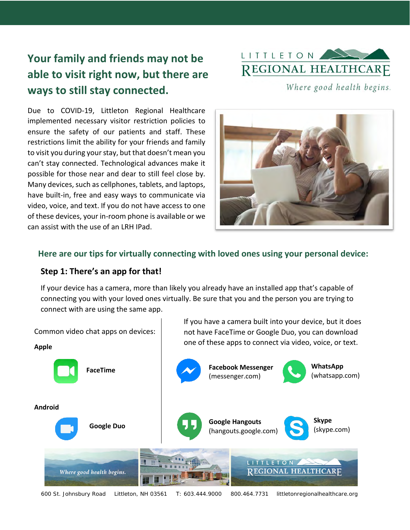# **Your family and friends may not be able to visit right now, but there are ways to still stay connected.**



Where good health begins.

Due to COVID-19, Littleton Regional Healthcare implemented necessary visitor restriction policies to ensure the safety of our patients and staff. These restrictions limit the ability for your friends and family to visit you during your stay, but that doesn't mean you can't stay connected. Technological advances make it possible for those near and dear to still feel close by. Many devices, such as cellphones, tablets, and laptops, have built-in, free and easy ways to communicate via video, voice, and text. If you do not have access to one of these devices, your in-room phone is available or we can assist with the use of an LRH IPad.



### **Here are our tips for virtually connecting with loved ones using your personal device:**

#### **Step 1: There's an app for that!**

If your device has a camera, more than likely you already have an installed app that's capable of connecting you with your loved ones virtually. Be sure that you and the person you are trying to connect with are using the same app.



600 St. Johnsbury Road Littleton, NH 03561 T: 603.444.9000 800.464.7731 littletonregionalhealthcare.org